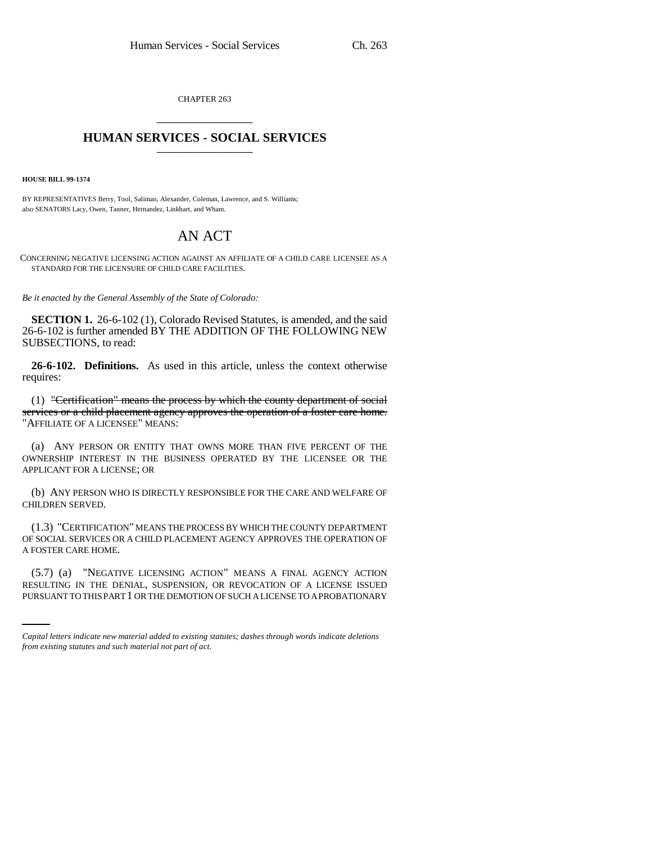CHAPTER 263 \_\_\_\_\_\_\_\_\_\_\_\_\_\_\_

## **HUMAN SERVICES - SOCIAL SERVICES** \_\_\_\_\_\_\_\_\_\_\_\_\_\_\_

**HOUSE BILL 99-1374**

BY REPRESENTATIVES Berry, Tool, Saliman, Alexander, Coleman, Lawrence, and S. Williams; also SENATORS Lacy, Owen, Tanner, Hernandez, Linkhart, and Wham.

## AN ACT

CONCERNING NEGATIVE LICENSING ACTION AGAINST AN AFFILIATE OF A CHILD CARE LICENSEE AS A STANDARD FOR THE LICENSURE OF CHILD CARE FACILITIES.

*Be it enacted by the General Assembly of the State of Colorado:*

**SECTION 1.** 26-6-102 (1), Colorado Revised Statutes, is amended, and the said 26-6-102 is further amended BY THE ADDITION OF THE FOLLOWING NEW SUBSECTIONS, to read:

**26-6-102. Definitions.** As used in this article, unless the context otherwise requires:

(1) "Certification" means the process by which the county department of social services or a child placement agency approves the operation of a foster care home. "AFFILIATE OF A LICENSEE" MEANS:

(a) ANY PERSON OR ENTITY THAT OWNS MORE THAN FIVE PERCENT OF THE OWNERSHIP INTEREST IN THE BUSINESS OPERATED BY THE LICENSEE OR THE APPLICANT FOR A LICENSE; OR

(b) ANY PERSON WHO IS DIRECTLY RESPONSIBLE FOR THE CARE AND WELFARE OF CHILDREN SERVED.

(1.3) "CERTIFICATION" MEANS THE PROCESS BY WHICH THE COUNTY DEPARTMENT OF SOCIAL SERVICES OR A CHILD PLACEMENT AGENCY APPROVES THE OPERATION OF A FOSTER CARE HOME.

(5.7) (a) "NEGATIVE LICENSING ACTION" MEANS A FINAL AGENCY ACTION RESULTING IN THE DENIAL, SUSPENSION, OR REVOCATION OF A LICENSE ISSUED PURSUANT TO THIS PART 1 OR THE DEMOTION OF SUCH A LICENSE TO A PROBATIONARY

*Capital letters indicate new material added to existing statutes; dashes through words indicate deletions from existing statutes and such material not part of act.*